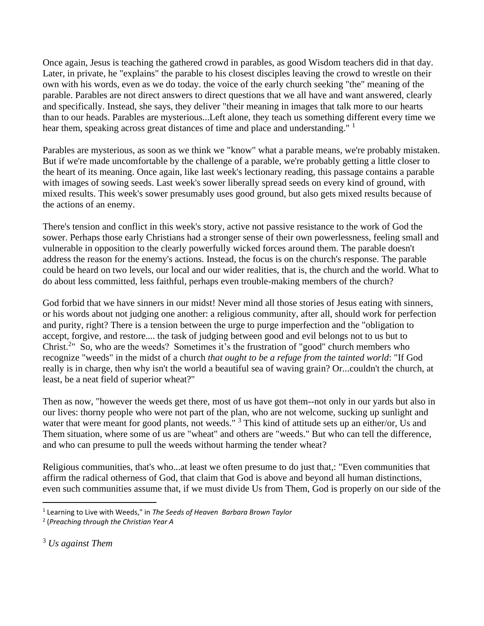Once again, Jesus is teaching the gathered crowd in parables, as good Wisdom teachers did in that day. Later, in private, he "explains" the parable to his closest disciples leaving the crowd to wrestle on their own with his words, even as we do today. the voice of the early church seeking "the" meaning of the parable. Parables are not direct answers to direct questions that we all have and want answered, clearly and specifically. Instead, she says, they deliver "their meaning in images that talk more to our hearts than to our heads. Parables are mysterious...Left alone, they teach us something different every time we hear them, speaking across great distances of time and place and understanding." <sup>1</sup>

Parables are mysterious, as soon as we think we "know" what a parable means, we're probably mistaken. But if we're made uncomfortable by the challenge of a parable, we're probably getting a little closer to the heart of its meaning. Once again, like last week's lectionary reading, this passage contains a parable with images of sowing seeds. Last week's sower liberally spread seeds on every kind of ground, with mixed results. This week's sower presumably uses good ground, but also gets mixed results because of the actions of an enemy.

There's tension and conflict in this week's story, active not passive resistance to the work of God the sower. Perhaps those early Christians had a stronger sense of their own powerlessness, feeling small and vulnerable in opposition to the clearly powerfully wicked forces around them. The parable doesn't address the reason for the enemy's actions. Instead, the focus is on the church's response. The parable could be heard on two levels, our local and our wider realities, that is, the church and the world. What to do about less committed, less faithful, perhaps even trouble-making members of the church?

God forbid that we have sinners in our midst! Never mind all those stories of Jesus eating with sinners, or his words about not judging one another: a religious community, after all, should work for perfection and purity, right? There is a tension between the urge to purge imperfection and the "obligation to accept, forgive, and restore.... the task of judging between good and evil belongs not to us but to Christ.<sup>2</sup>" So, who are the weeds? Sometimes it's the frustration of "good" church members who recognize "weeds" in the midst of a church *that ought to be a refuge from the tainted world*: "If God really is in charge, then why isn't the world a beautiful sea of waving grain? Or...couldn't the church, at least, be a neat field of superior wheat?"

Then as now, "however the weeds get there, most of us have got them--not only in our yards but also in our lives: thorny people who were not part of the plan, who are not welcome, sucking up sunlight and water that were meant for good plants, not weeds." <sup>3</sup> This kind of attitude sets up an either/or, Us and Them situation, where some of us are "wheat" and others are "weeds." But who can tell the difference, and who can presume to pull the weeds without harming the tender wheat?

Religious communities, that's who...at least we often presume to do just that,: "Even communities that affirm the radical otherness of God, that claim that God is above and beyond all human distinctions, even such communities assume that, if we must divide Us from Them, God is properly on our side of the

<sup>1</sup> Learning to Live with Weeds," in *The Seeds of Heaven Barbara Brown Taylor*

<sup>2</sup> (*Preaching through the Christian Year A*

<sup>3</sup> *Us against Them*